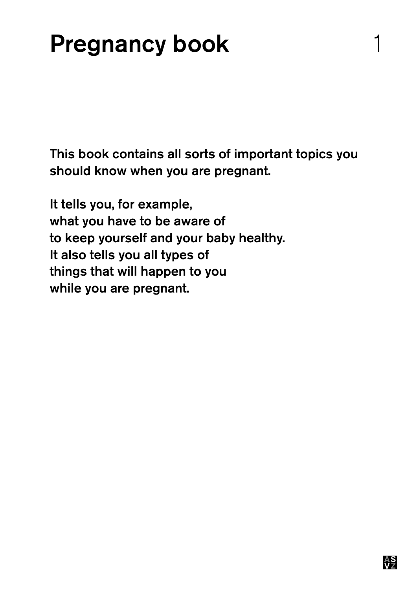### Pregnancy book 1

This book contains all sorts of important topics you should know when you are pregnant.

It tells you, for example, what you have to be aware of to keep yourself and your baby healthy. It also tells you all types of things that will happen to you while you are pregnant.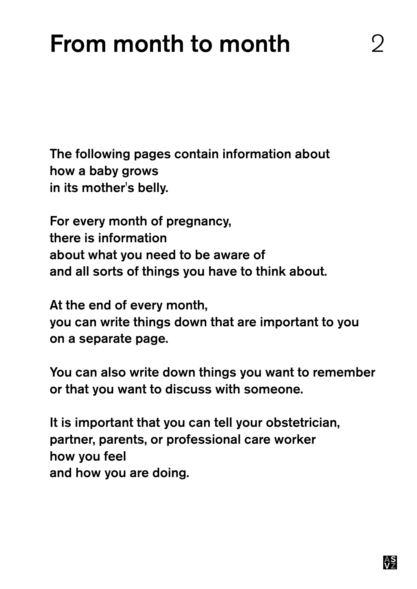### From month to month

The following pages contain information about how a baby grows in its mother's belly.

For every month of pregnancy, there is information about what you need to be aware of and all sorts of things you have to think about.

At the end of every month, you can write things down that are important to you on a separate page.

You can also write down things you want to remember or that you want to discuss with someone.

It is important that you can tell your obstetrician, partner, parents, or professional care worker how you feel and how you are doing.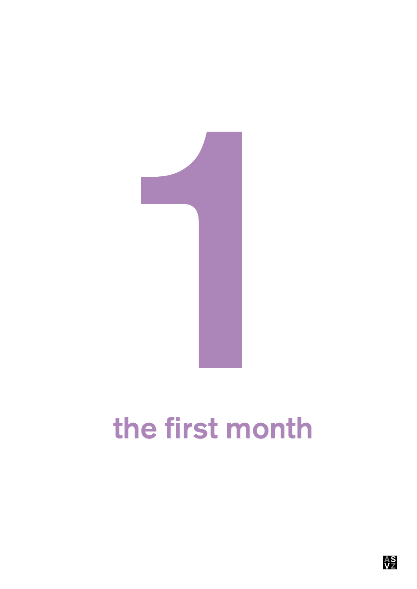

# the first month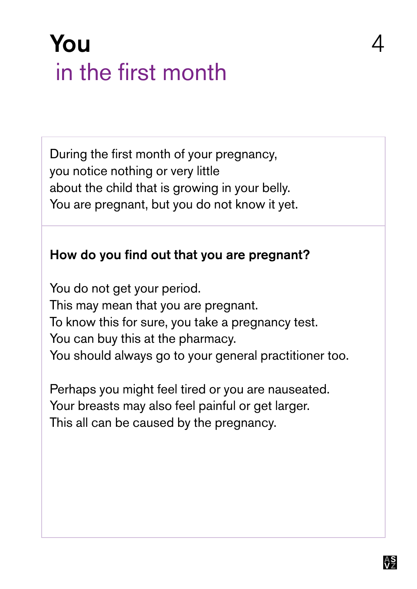### You 4 in the first month

During the first month of your pregnancy, you notice nothing or very little about the child that is growing in your belly. You are pregnant, but you do not know it yet.

#### How do you find out that you are pregnant?

You do not get your period. This may mean that you are pregnant. To know this for sure, you take a pregnancy test. You can buy this at the pharmacy. You should always go to your general practitioner too.

Perhaps you might feel tired or you are nauseated. Your breasts may also feel painful or get larger. This all can be caused by the pregnancy.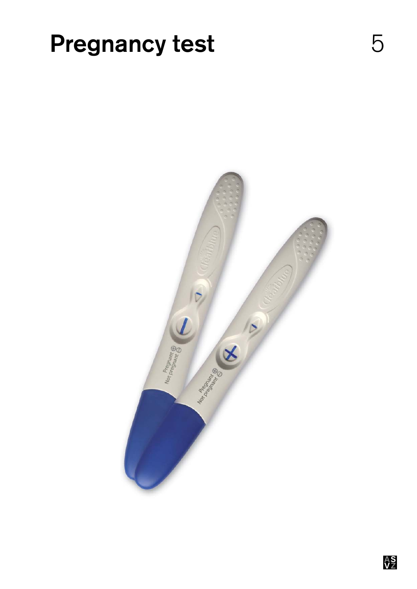### **Pregnancy test** 5

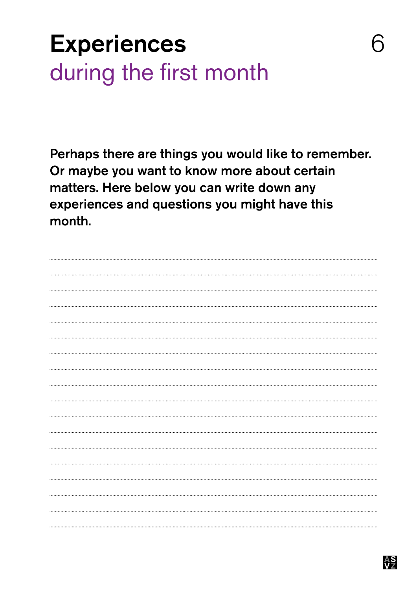### **Experiences** during the first month

Perhaps there are things you would like to remember. Or maybe you want to know more about certain matters. Here below you can write down any experiences and questions you might have this month.



6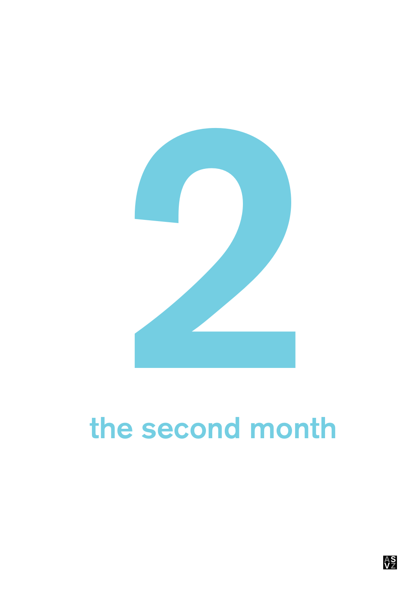

# the second month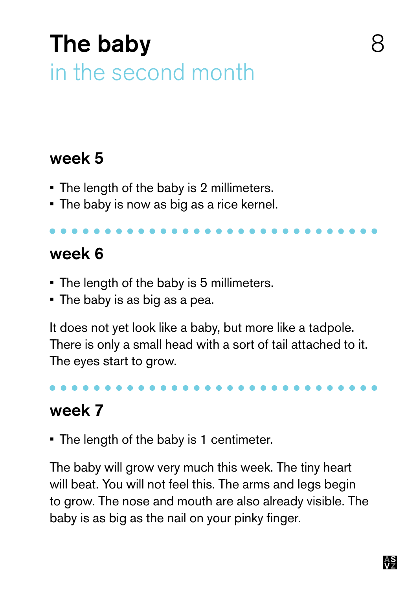### The baby in the second month

#### week 5

- The length of the baby is 2 millimeters.
- The baby is now as big as a rice kernel.

#### week 6

- **The length of the baby is 5 millimeters.**
- The baby is as big as a pea.

It does not yet look like a baby, but more like a tadpole. There is only a small head with a sort of tail attached to it. The eyes start to grow.

#### week 7

• The length of the baby is 1 centimeter.

The baby will grow very much this week. The tiny heart will beat. You will not feel this. The arms and legs begin to grow. The nose and mouth are also already visible. The baby is as big as the nail on your pinky finger.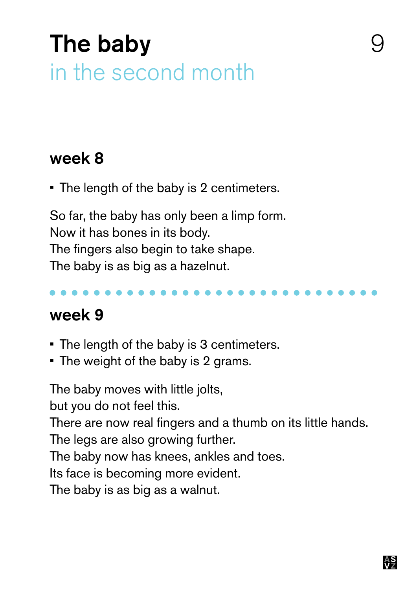### The baby in the second month

#### week 8

• The length of the baby is 2 centimeters.

So far, the baby has only been a limp form. Now it has bones in its body. The fingers also begin to take shape. The baby is as big as a hazelnut.

#### week 9

- The length of the baby is 3 centimeters.
- The weight of the baby is 2 grams.

The baby moves with little jolts,

but you do not feel this.

There are now real fingers and a thumb on its little hands.

The legs are also growing further.

The baby now has knees, ankles and toes.

Its face is becoming more evident.

The baby is as big as a walnut.

9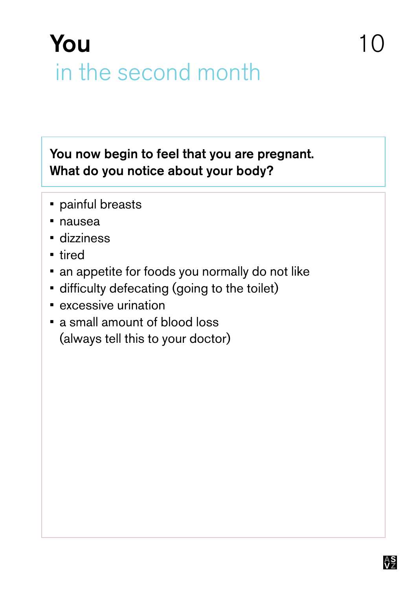### You in the second month

You now begin to feel that you are pregnant. What do you notice about your body?

- **•** painful breasts
- nausea
- • dizziness
- • tired
- an appetite for foods you normally do not like
- difficulty defecating (going to the toilet)
- **excessive urination**
- a small amount of blood loss (always tell this to your doctor)

 $1<sup>0</sup>$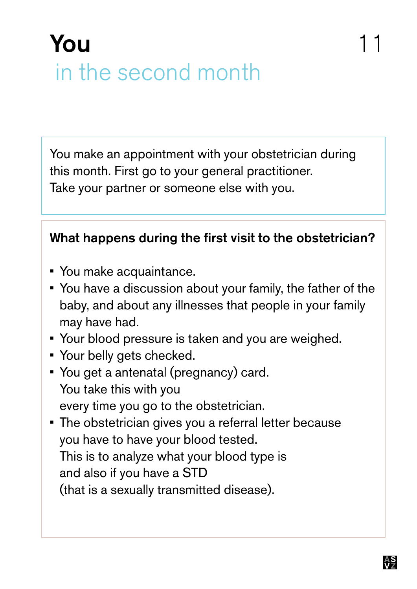### You in the second month

You make an appointment with your obstetrician during this month. First go to your general practitioner. Take your partner or someone else with you.

#### What happens during the first visit to the obstetrician?

- You make acquaintance.
- You have a discussion about your family, the father of the baby, and about any illnesses that people in your family may have had.
- • Your blood pressure is taken and you are weighed.
- • Your belly gets checked.
- You get a antenatal (pregnancy) card. You take this with you every time you go to the obstetrician.
- The obstetrician gives you a referral letter because you have to have your blood tested. This is to analyze what your blood type is and also if you have a STD (that is a sexually transmitted disease).

11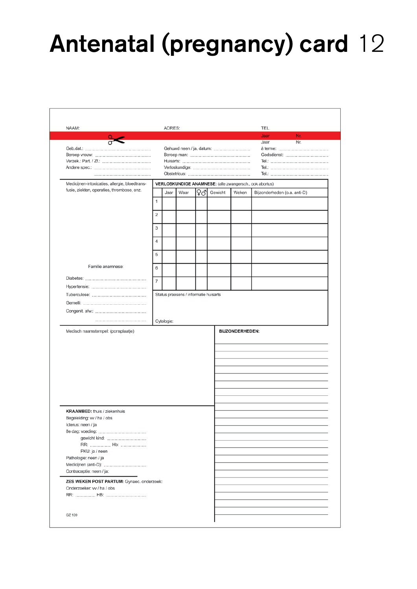## Antenatal (pregnancy) card 12

| NAAM:                                          |                          | ADRES:                                |      |    |         |                        | TEL.                                                    |
|------------------------------------------------|--------------------------|---------------------------------------|------|----|---------|------------------------|---------------------------------------------------------|
|                                                |                          |                                       |      |    |         |                        | Nr.<br>Jaar                                             |
|                                                |                          |                                       |      |    |         |                        | Nr.<br>Jaar                                             |
|                                                | Gehuwd neen / ja, datum: |                                       |      |    |         |                        | à terme:                                                |
|                                                |                          |                                       |      |    |         |                        | Godsdienst:                                             |
|                                                |                          |                                       |      |    |         |                        |                                                         |
|                                                |                          |                                       |      |    |         |                        |                                                         |
|                                                |                          |                                       |      |    |         |                        |                                                         |
| Medicijnen-intoxicaties, allergie, bloedtrans- |                          |                                       |      |    |         |                        | VERLOSKUNDIGE ANAMNESE: (alle zwangersch., ook abortus) |
| fusie, ziekten, operaties, thrombose, enz.     |                          | Jaar                                  | Waar | ₽♂ | Gewicht | Weken                  | Bijzonderheden (o.a. anti-D)                            |
|                                                | 1                        |                                       |      |    |         |                        |                                                         |
|                                                | 2                        |                                       |      |    |         |                        |                                                         |
|                                                | 3                        |                                       |      |    |         |                        |                                                         |
|                                                | 4                        |                                       |      |    |         |                        |                                                         |
|                                                |                          |                                       |      |    |         |                        |                                                         |
|                                                | 5                        |                                       |      |    |         |                        |                                                         |
| Familie anamnese:                              | 6                        |                                       |      |    |         |                        |                                                         |
|                                                | $\overline{7}$           |                                       |      |    |         |                        |                                                         |
|                                                |                          |                                       |      |    |         |                        |                                                         |
|                                                |                          | Status praesens / informatie huisarts |      |    |         |                        |                                                         |
|                                                |                          |                                       |      |    |         |                        |                                                         |
|                                                |                          |                                       |      |    |         |                        |                                                         |
|                                                |                          |                                       |      |    |         |                        |                                                         |
|                                                |                          | Cytologie:                            |      |    |         |                        |                                                         |
| Medisch naamstempel: (ponsplaatje)             |                          |                                       |      |    |         |                        |                                                         |
|                                                |                          |                                       |      |    |         | <b>BIJZONDERHEDEN:</b> |                                                         |
|                                                |                          |                                       |      |    |         |                        |                                                         |
|                                                |                          |                                       |      |    |         |                        |                                                         |
|                                                |                          |                                       |      |    |         |                        |                                                         |
|                                                |                          |                                       |      |    |         |                        |                                                         |
|                                                |                          |                                       |      |    |         |                        |                                                         |
|                                                |                          |                                       |      |    |         |                        |                                                         |
|                                                |                          |                                       |      |    |         |                        |                                                         |
|                                                |                          |                                       |      |    |         |                        |                                                         |
|                                                |                          |                                       |      |    |         |                        |                                                         |
|                                                |                          |                                       |      |    |         |                        |                                                         |
| <b>KRAAMBED:</b> thuis / ziekenhuis            |                          |                                       |      |    |         |                        |                                                         |
| Begeleiding: vv / ha / obs                     |                          |                                       |      |    |         |                        |                                                         |
| Icterus: neen / ja                             |                          |                                       |      |    |         |                        |                                                         |
|                                                |                          |                                       |      |    |         |                        |                                                         |
| 8e dag: voeding:                               |                          |                                       |      |    |         |                        |                                                         |
| gewicht kind:<br>RR:  Hb:                      |                          |                                       |      |    |         |                        |                                                         |
| PKU: ja / neen                                 |                          |                                       |      |    |         |                        |                                                         |
| Pathologie: neen / ja                          |                          |                                       |      |    |         |                        |                                                         |
| Medicijnen (anti-D):                           |                          |                                       |      |    |         |                        |                                                         |
| Contraceptie: neen / ja:                       |                          |                                       |      |    |         |                        |                                                         |
|                                                |                          |                                       |      |    |         |                        |                                                         |
| Onderzoeker: vv / ha / obs                     |                          |                                       |      |    |         |                        |                                                         |
|                                                |                          |                                       |      |    |         |                        |                                                         |
| ZES WEKEN POST PARTUM: Gynaec. onderzoek:      |                          |                                       |      |    |         |                        |                                                         |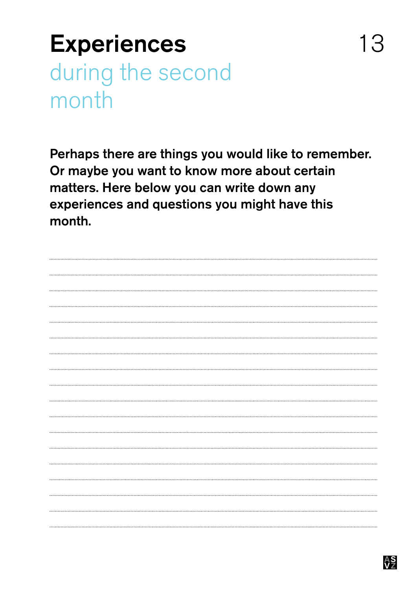### **Experiences** during the second month

Perhaps there are things you would like to remember. Or maybe you want to know more about certain matters. Here below you can write down any experiences and questions you might have this month.

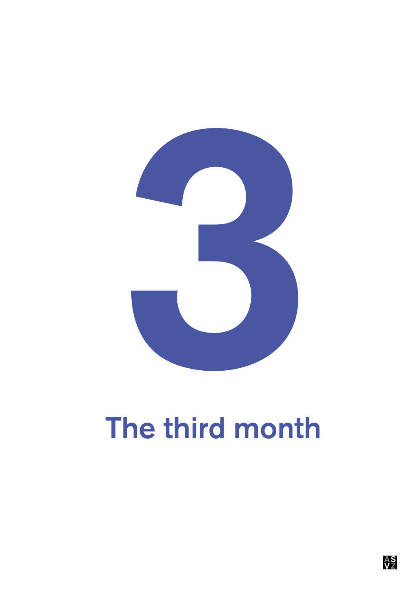

# The third month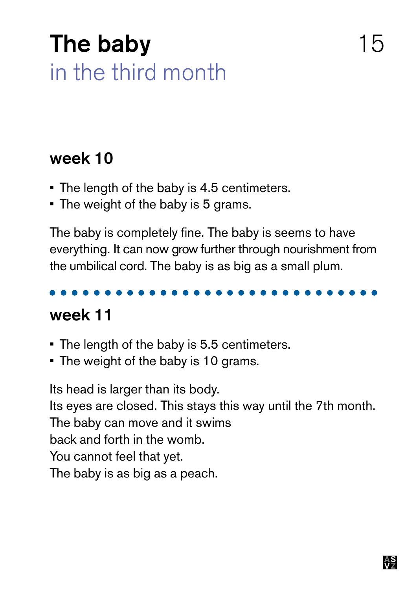### The baby in the third month

#### week 10

- The length of the baby is 4.5 centimeters.
- The weight of the baby is 5 grams.

The baby is completely fine. The baby is seems to have everything. It can now grow further through nourishment from the umbilical cord. The baby is as big as a small plum.

### week 11

- The length of the baby is 5.5 centimeters.
- The weight of the baby is 10 grams.

Its head is larger than its body. Its eyes are closed. This stays this way until the 7th month. The baby can move and it swims back and forth in the womb. You cannot feel that yet. The baby is as big as a peach.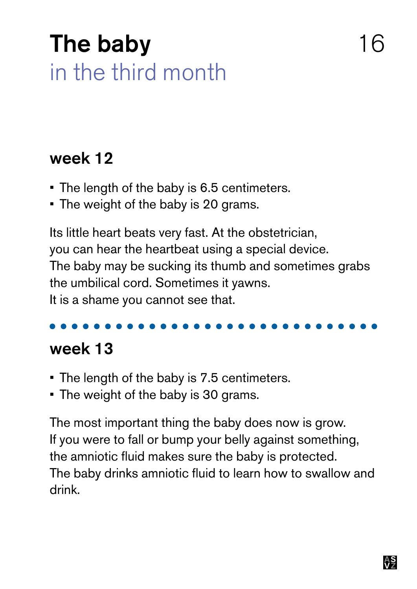### The baby in the third month

#### week 12

- The length of the baby is 6.5 centimeters.
- The weight of the baby is 20 grams.

Its little heart beats very fast. At the obstetrician, you can hear the heartbeat using a special device. The baby may be sucking its thumb and sometimes grabs the umbilical cord. Sometimes it yawns. It is a shame you cannot see that.

#### week 13

- The length of the baby is 7.5 centimeters.
- The weight of the baby is 30 grams.

The most important thing the baby does now is grow. If you were to fall or bump your belly against something, the amniotic fluid makes sure the baby is protected. The baby drinks amniotic fluid to learn how to swallow and drink.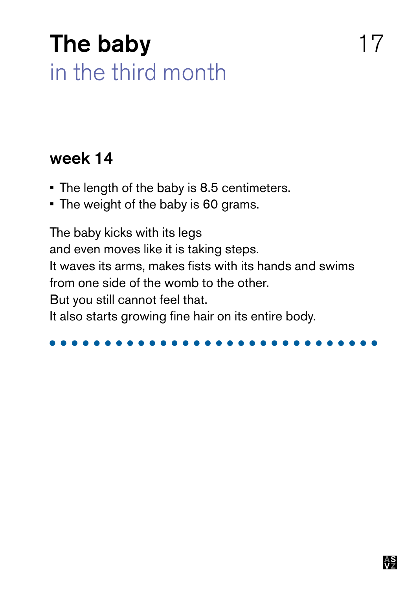### The baby 17 in the third month

#### week 14

- The length of the baby is 8.5 centimeters.
- The weight of the baby is 60 grams.

The baby kicks with its legs and even moves like it is taking steps. It waves its arms, makes fists with its hands and swims from one side of the womb to the other. But you still cannot feel that. It also starts growing fine hair on its entire body.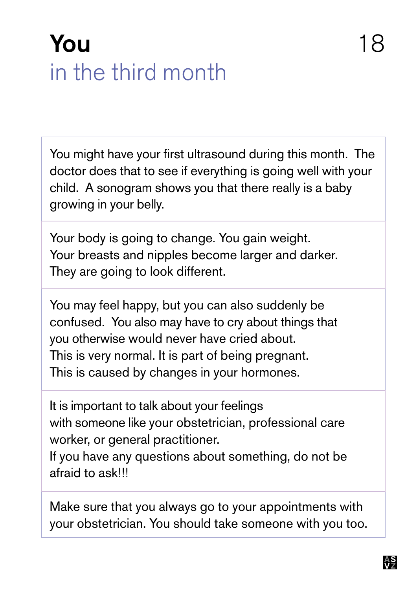### You and the set of the set of the set of the set of the set of the set of the set of the set of the set of the set of the set of the set of the set of the set of the set of the set of the set of the set of the set of the s in the third month

You might have your first ultrasound during this month. The doctor does that to see if everything is going well with your child. A sonogram shows you that there really is a baby growing in your belly.

Your body is going to change. You gain weight. Your breasts and nipples become larger and darker. They are going to look different.

You may feel happy, but you can also suddenly be confused. You also may have to cry about things that you otherwise would never have cried about. This is very normal. It is part of being pregnant. This is caused by changes in your hormones.

It is important to talk about your feelings with someone like your obstetrician, professional care worker, or general practitioner.

If you have any questions about something, do not be afraid to ask!!!

Make sure that you always go to your appointments with your obstetrician. You should take someone with you too.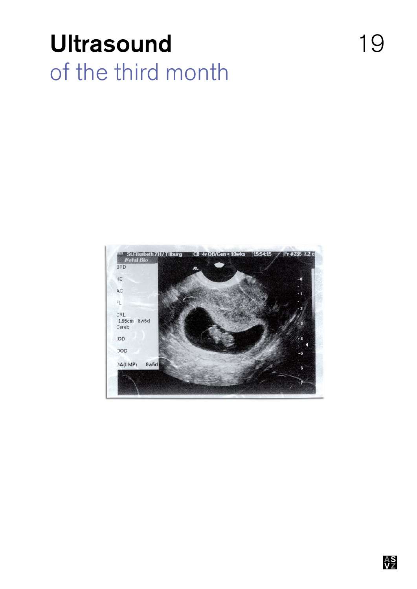### Ultrasound 19 of the third month

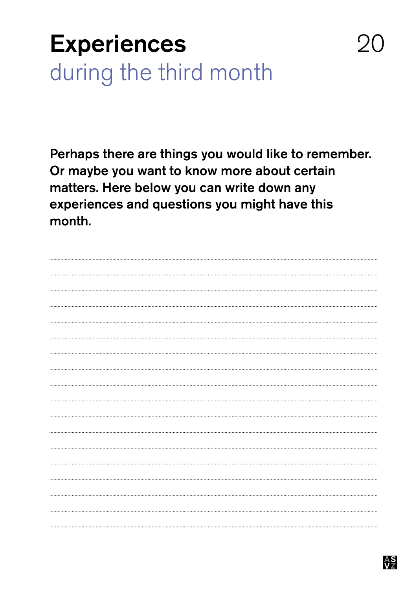### **Experiences** during the third month

Perhaps there are things you would like to remember. Or maybe you want to know more about certain matters. Here below you can write down any experiences and questions you might have this month.



20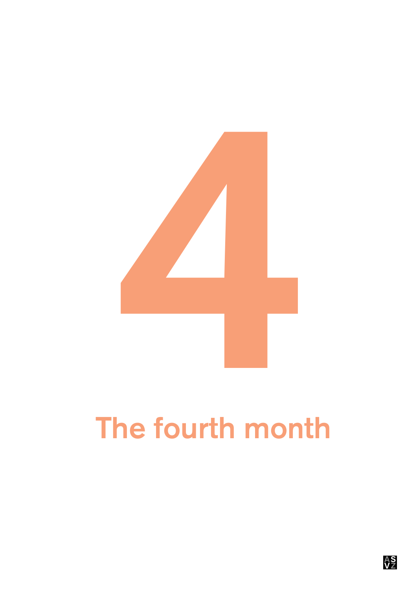

# The fourth month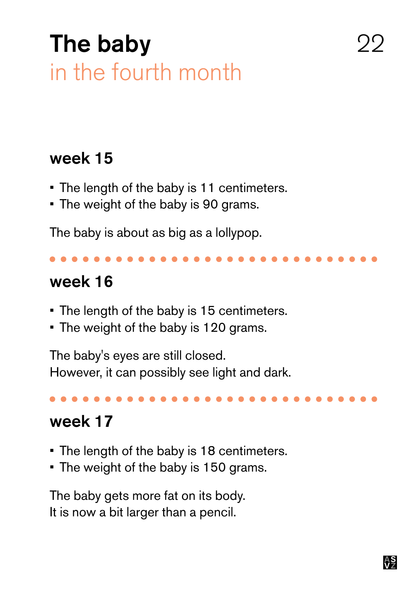### The baby in the fourth month

### week 15

- The length of the baby is 11 centimeters.
- The weight of the baby is 90 grams.

The baby is about as big as a lollypop.

#### week 16

- • The length of the baby is 15 centimeters.
- The weight of the baby is 120 grams.

The baby's eyes are still closed. However, it can possibly see light and dark.

### week 17

- The length of the baby is 18 centimeters.
- The weight of the baby is 150 grams.

The baby gets more fat on its body. It is now a bit larger than a pencil.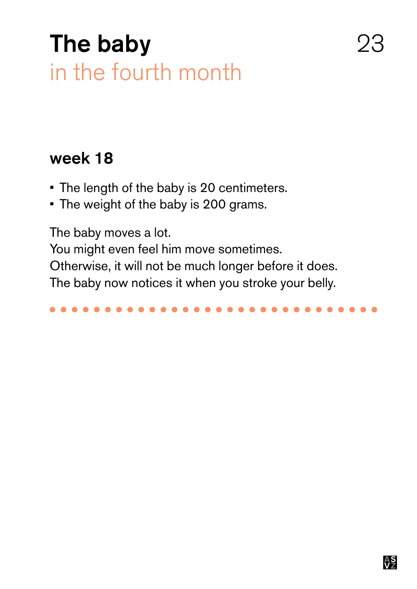### The baby in the fourth month

#### week 18

- The length of the baby is 20 centimeters.
- • The weight of the baby is 200 grams.

The baby moves a lot. You might even feel him move sometimes. Otherwise, it will not be much longer before it does. The baby now notices it when you stroke your belly.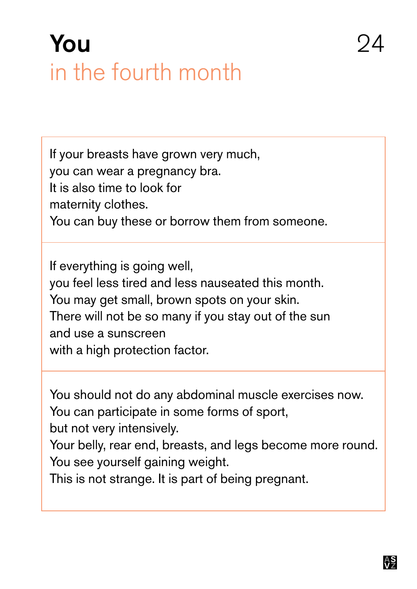### You 24 in the fourth month

If your breasts have grown very much, you can wear a pregnancy bra. It is also time to look for maternity clothes. You can buy these or borrow them from someone.

If everything is going well, you feel less tired and less nauseated this month. You may get small, brown spots on your skin. There will not be so many if you stay out of the sun and use a sunscreen with a high protection factor.

You should not do any abdominal muscle exercises now. You can participate in some forms of sport,

but not very intensively.

Your belly, rear end, breasts, and legs become more round. You see yourself gaining weight.

This is not strange. It is part of being pregnant.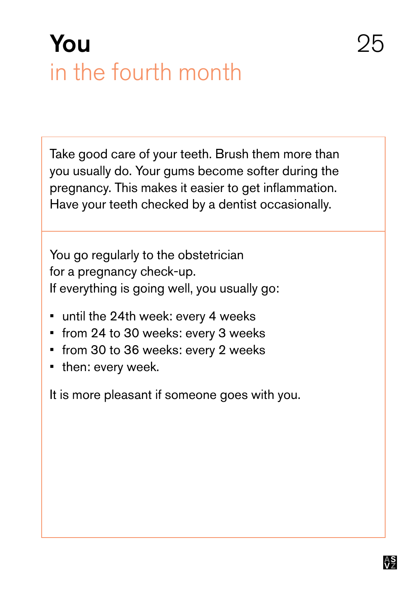### You 25 in the fourth month

Take good care of your teeth. Brush them more than you usually do. Your gums become softer during the pregnancy. This makes it easier to get inflammation. Have your teeth checked by a dentist occasionally.

You go regularly to the obstetrician for a pregnancy check-up. If everything is going well, you usually go:

- until the 24th week: every 4 weeks
- from 24 to 30 weeks: every 3 weeks
- • from 30 to 36 weeks: every 2 weeks
- then: every week.

It is more pleasant if someone goes with you.

<del>AS</del>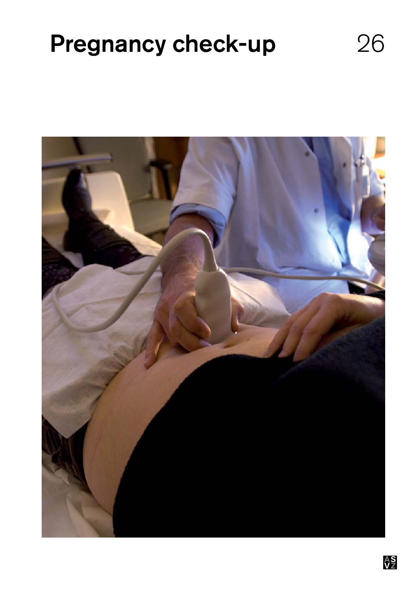### Pregnancy check-up 26

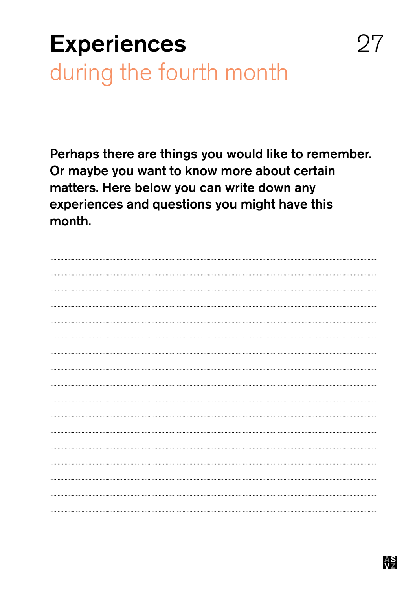### **Experiences** during the fourth month

Perhaps there are things you would like to remember. Or maybe you want to know more about certain matters. Here below you can write down any experiences and questions you might have this month.



27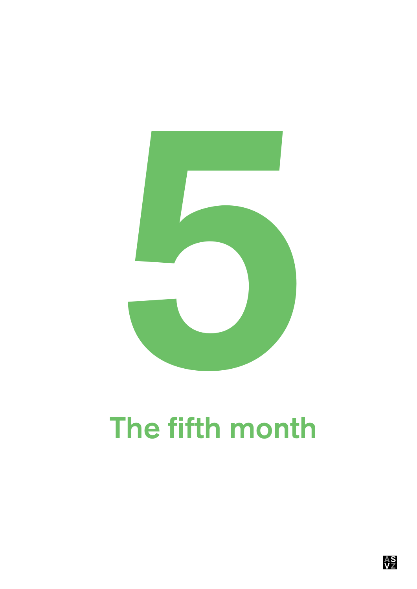

# The fifth month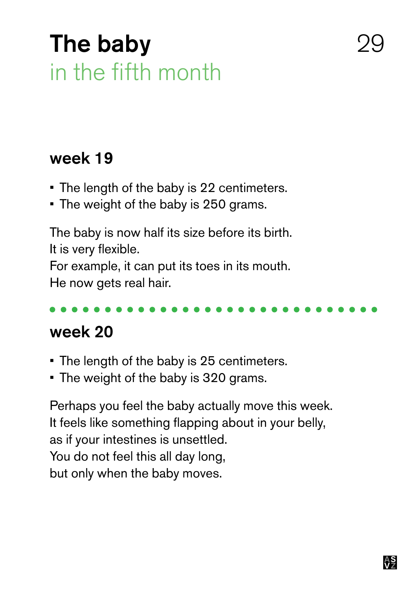### The baby in the fifth month

#### week 19

- The length of the baby is 22 centimeters.
- The weight of the baby is 250 grams.

The baby is now half its size before its birth. It is very flexible. For example, it can put its toes in its mouth. He now gets real hair.

#### week 20

- The length of the baby is 25 centimeters.
- The weight of the baby is 320 grams.

Perhaps you feel the baby actually move this week. It feels like something flapping about in your belly, as if your intestines is unsettled. You do not feel this all day long, but only when the baby moves.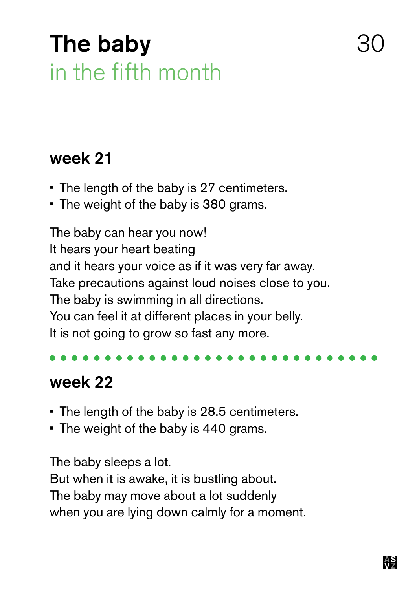### The baby in the fifth month

#### week 21

- The length of the baby is 27 centimeters.
- The weight of the baby is 380 grams.

The baby can hear you now! It hears your heart beating and it hears your voice as if it was very far away. Take precautions against loud noises close to you. The baby is swimming in all directions. You can feel it at different places in your belly. It is not going to grow so fast any more.

### week 22

- The length of the baby is 28.5 centimeters.
- The weight of the baby is 440 grams.

The baby sleeps a lot.

But when it is awake, it is bustling about. The baby may move about a lot suddenly when you are lying down calmly for a moment.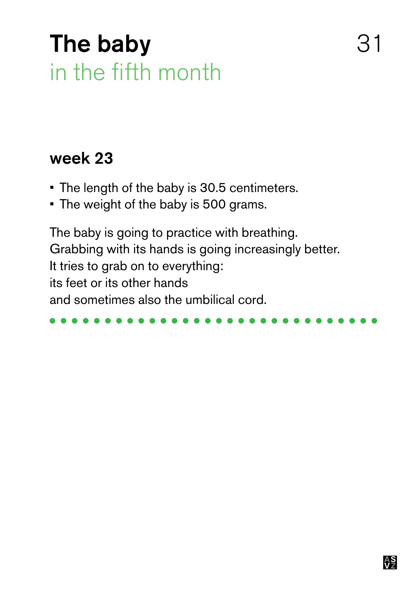### The baby 31 in the fifth month

#### week 23

- The length of the baby is 30.5 centimeters.
- The weight of the baby is 500 grams.

The baby is going to practice with breathing. Grabbing with its hands is going increasingly better. It tries to grab on to everything: its feet or its other hands and sometimes also the umbilical cord.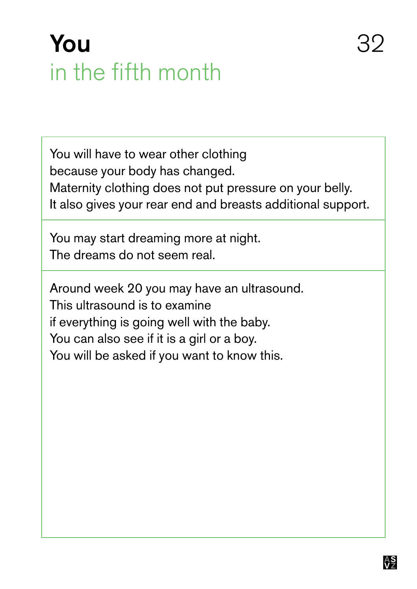### You 32 in the fifth month

You will have to wear other clothing because your body has changed. Maternity clothing does not put pressure on your belly. It also gives your rear end and breasts additional support.

You may start dreaming more at night. The dreams do not seem real.

Around week 20 you may have an ultrasound. This ultrasound is to examine if everything is going well with the baby. You can also see if it is a girl or a boy. You will be asked if you want to know this.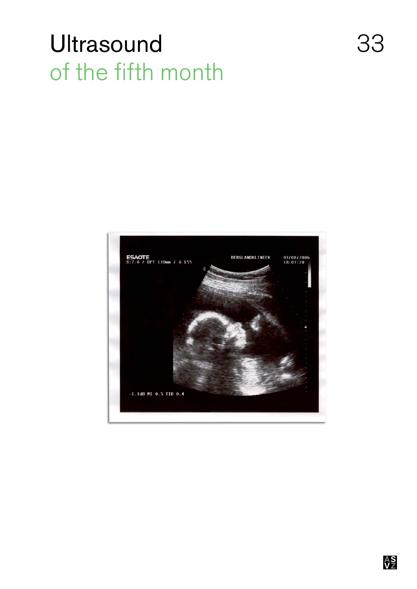### Ultrasound 33 of the fifth month

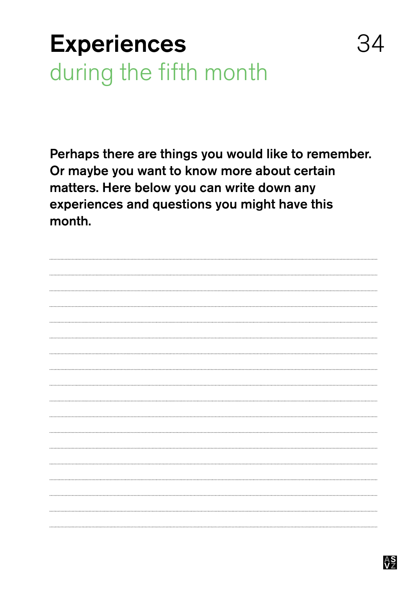### **Experiences** during the fifth month

Perhaps there are things you would like to remember. Or maybe you want to know more about certain matters. Here below you can write down any experiences and questions you might have this month.

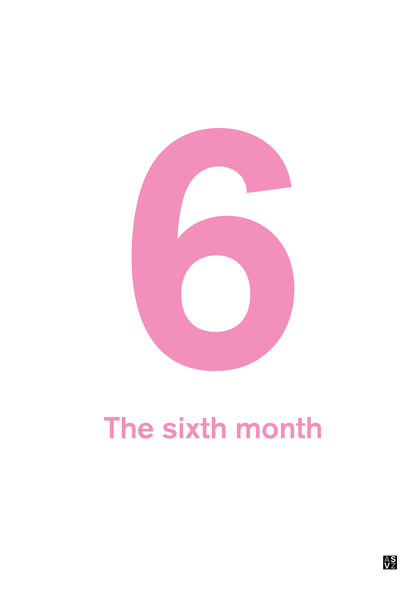

# The sixth month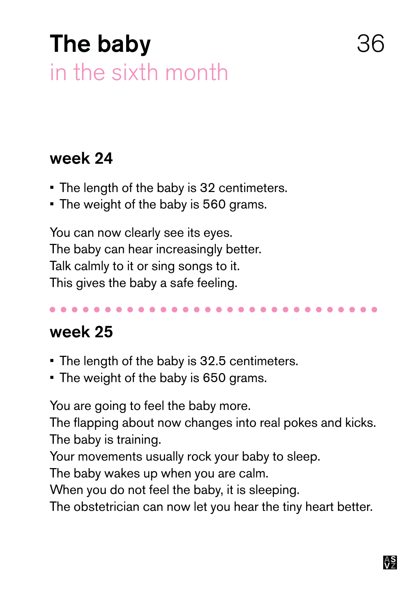### The baby in the sixth month

#### week 24

- The length of the baby is 32 centimeters.
- The weight of the baby is 560 grams.

You can now clearly see its eyes. The baby can hear increasingly better. Talk calmly to it or sing songs to it. This gives the baby a safe feeling.

#### week 25

- The length of the baby is 32.5 centimeters.
- The weight of the baby is 650 grams.

You are going to feel the baby more.

The flapping about now changes into real pokes and kicks. The baby is training.

Your movements usually rock your baby to sleep.

The baby wakes up when you are calm.

When you do not feel the baby, it is sleeping.

The obstetrician can now let you hear the tiny heart better.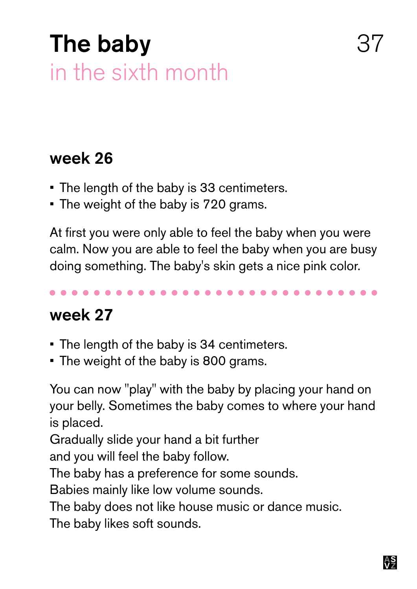### The baby in the sixth month

#### week 26

- The length of the baby is 33 centimeters.
- The weight of the baby is 720 grams.

At first you were only able to feel the baby when you were calm. Now you are able to feel the baby when you are busy doing something. The baby's skin gets a nice pink color.

### week 27

- The length of the baby is 34 centimeters.
- The weight of the baby is 800 grams.

You can now "play" with the baby by placing your hand on your belly. Sometimes the baby comes to where your hand is placed.

Gradually slide your hand a bit further

and you will feel the baby follow.

The baby has a preference for some sounds.

Babies mainly like low volume sounds.

The baby does not like house music or dance music.

The baby likes soft sounds.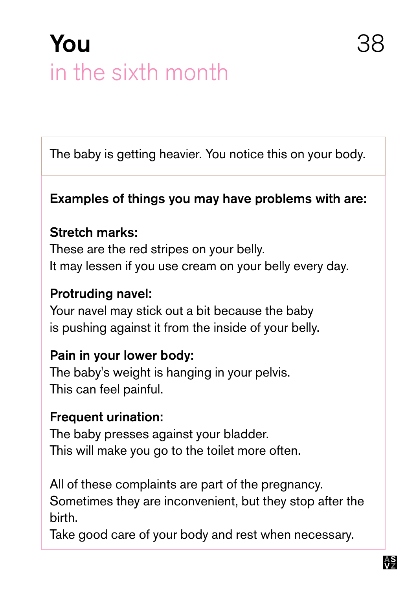### You 38 in the sixth month

The baby is getting heavier. You notice this on your body.

#### Examples of things you may have problems with are:

#### Stretch marks:

These are the red stripes on your belly. It may lessen if you use cream on your belly every day.

#### Protruding navel:

Your navel may stick out a bit because the baby is pushing against it from the inside of your belly.

#### Pain in your lower body:

The baby's weight is hanging in your pelvis. This can feel painful.

#### Frequent urination:

The baby presses against your bladder. This will make you go to the toilet more often.

All of these complaints are part of the pregnancy. Sometimes they are inconvenient, but they stop after the birth.

Take good care of your body and rest when necessary.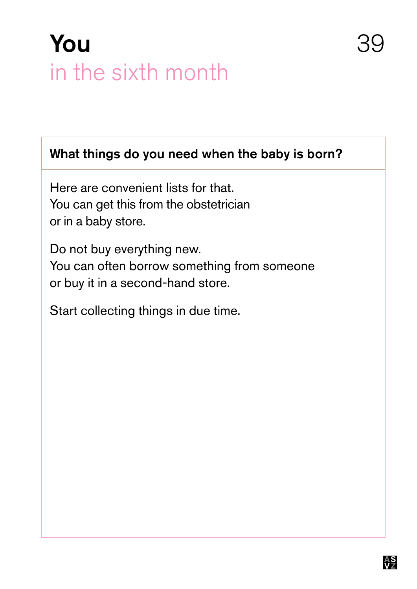### You in the sixth month

What things do you need when the baby is born?

Here are convenient lists for that. You can get this from the obstetrician or in a baby store.

Do not buy everything new. You can often borrow something from someone or buy it in a second-hand store.

Start collecting things in due time.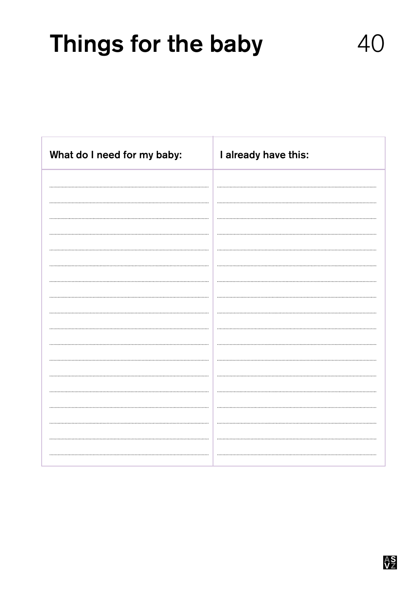### Things for the baby 40

| What do I need for my baby: | I already have this: |
|-----------------------------|----------------------|
|                             |                      |
|                             |                      |
|                             |                      |
|                             |                      |
|                             |                      |
|                             |                      |
|                             |                      |
|                             |                      |
|                             |                      |
|                             |                      |
|                             |                      |
|                             |                      |
|                             |                      |
|                             |                      |
|                             |                      |
|                             |                      |
|                             |                      |
|                             |                      |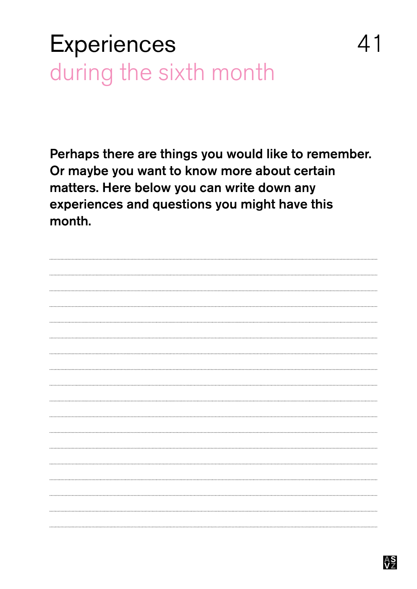### **Experiences** during the sixth month

Perhaps there are things you would like to remember. Or maybe you want to know more about certain matters. Here below you can write down any experiences and questions you might have this month.

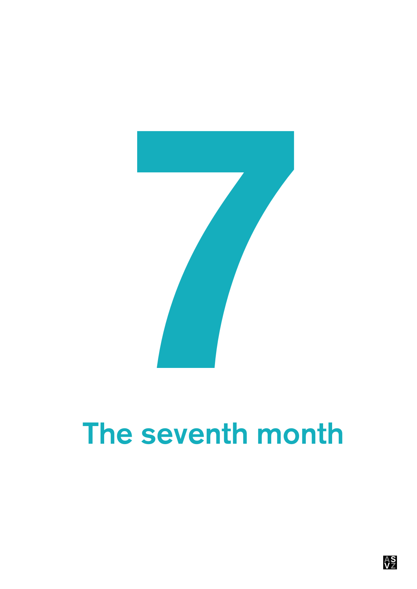

# The seventh month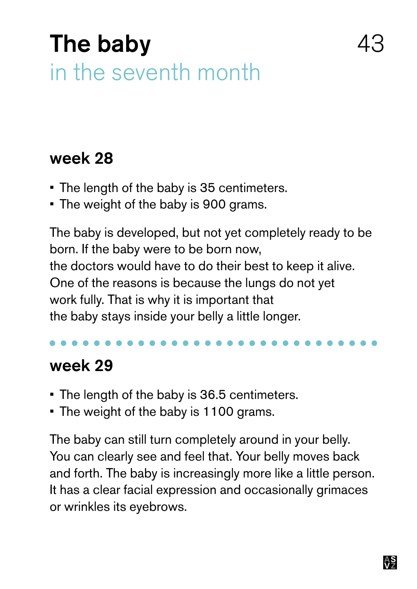### The baby in the seventh month

#### week 28

- The length of the baby is 35 centimeters.
- The weight of the baby is 900 grams.

The baby is developed, but not yet completely ready to be born. If the baby were to be born now, the doctors would have to do their best to keep it alive. One of the reasons is because the lungs do not yet work fully. That is why it is important that the baby stays inside your belly a little longer.

#### week 29

- The length of the baby is 36.5 centimeters.
- The weight of the baby is 1100 grams.

The baby can still turn completely around in your belly. You can clearly see and feel that. Your belly moves back and forth. The baby is increasingly more like a little person. It has a clear facial expression and occasionally grimaces or wrinkles its eyebrows.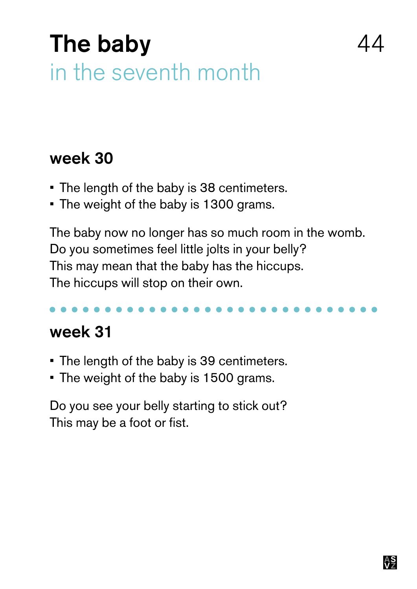### The baby in the seventh month

#### week 30

- The length of the baby is 38 centimeters.
- The weight of the baby is 1300 grams.

The baby now no longer has so much room in the womb. Do you sometimes feel little jolts in your belly? This may mean that the baby has the hiccups. The hiccups will stop on their own.

#### week 31

- The length of the baby is 39 centimeters.
- The weight of the baby is 1500 grams.

Do you see your belly starting to stick out? This may be a foot or fist.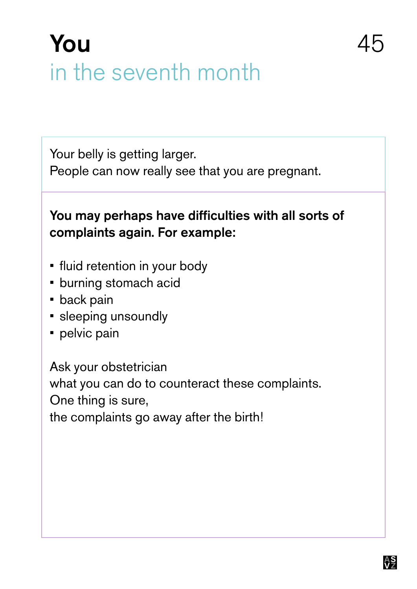### You 45 in the seventh month

Your belly is getting larger.

People can now really see that you are pregnant.

#### You may perhaps have difficulties with all sorts of complaints again. For example:

- fluid retention in your body
- **burning stomach acid**
- **•** back pain
- **·** sleeping unsoundly
- **•** pelvic pain

Ask your obstetrician what you can do to counteract these complaints. One thing is sure, the complaints go away after the birth!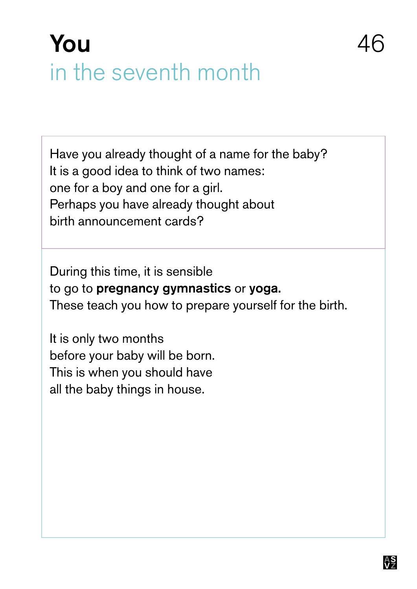### You in the seventh month

Have you already thought of a name for the baby? It is a good idea to think of two names: one for a boy and one for a girl. Perhaps you have already thought about birth announcement cards?

During this time, it is sensible to go to pregnancy gymnastics or yoga. These teach you how to prepare yourself for the birth.

It is only two months before your baby will be born. This is when you should have all the baby things in house.

46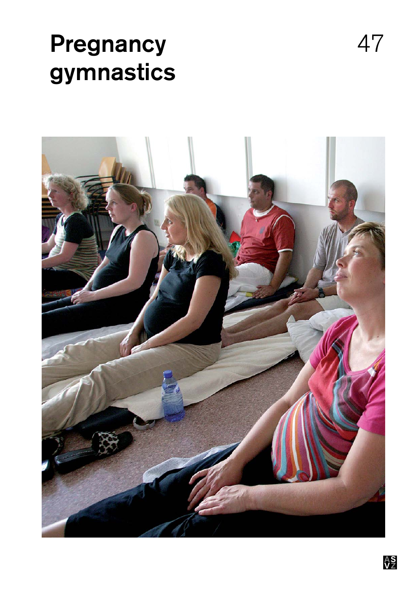### Pregnancy 47 gymnastics

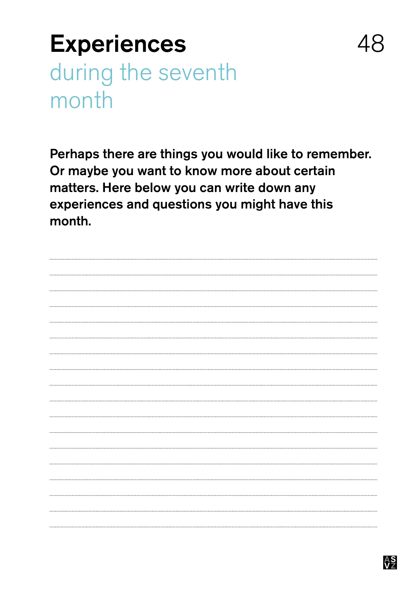### **Experiences** during the seventh month

Perhaps there are things you would like to remember. Or maybe you want to know more about certain matters. Here below you can write down any experiences and questions you might have this month.

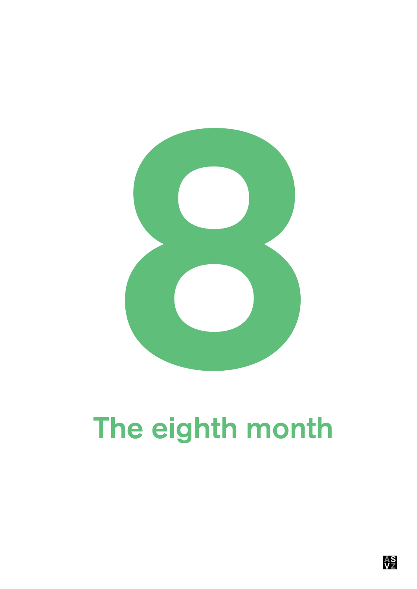

# The eighth month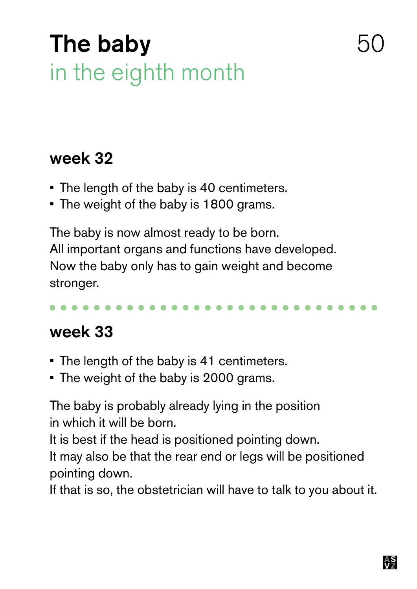### The baby in the eighth month

#### week 32

- The length of the baby is 40 centimeters.
- The weight of the baby is 1800 grams.

The baby is now almost ready to be born. All important organs and functions have developed. Now the baby only has to gain weight and become stronger.

#### week 33

- The length of the baby is 41 centimeters.
- The weight of the baby is 2000 grams.

The baby is probably already lying in the position in which it will be born.

It is best if the head is positioned pointing down.

It may also be that the rear end or legs will be positioned pointing down.

If that is so, the obstetrician will have to talk to you about it.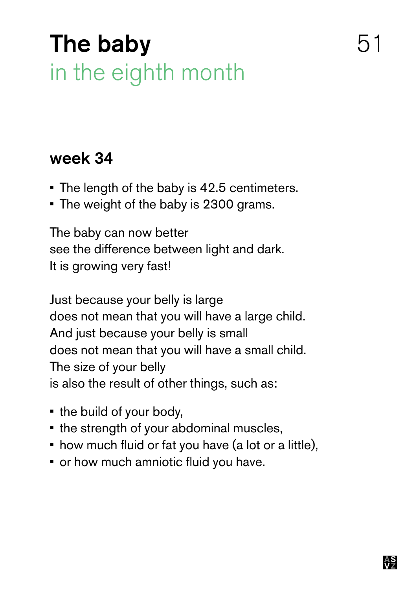### The baby 51 in the eighth month

#### week 34

- The length of the baby is 42.5 centimeters.
- The weight of the baby is 2300 grams.

The baby can now better see the difference between light and dark. It is growing very fast!

Just because your belly is large does not mean that you will have a large child. And just because your belly is small does not mean that you will have a small child. The size of your belly is also the result of other things, such as:

- • the build of your body,
- the strength of your abdominal muscles,
- how much fluid or fat you have (a lot or a little),
- or how much amniotic fluid you have.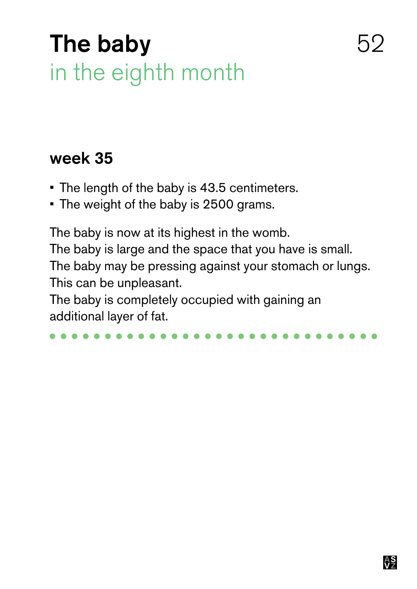### The baby 62 in the eighth month

#### week 35

- The length of the baby is 43.5 centimeters.
- The weight of the baby is 2500 grams.

The baby is now at its highest in the womb. The baby is large and the space that you have is small. The baby may be pressing against your stomach or lungs. This can be unpleasant.

The baby is completely occupied with gaining an additional layer of fat.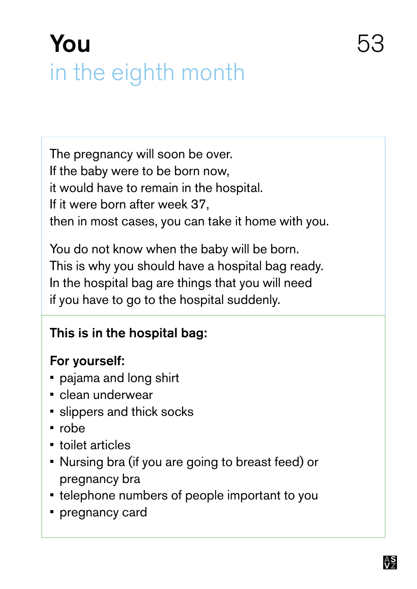## You 53 in the eighth month

The pregnancy will soon be over. If the baby were to be born now, it would have to remain in the hospital. If it were born after week 37, then in most cases, you can take it home with you.

You do not know when the baby will be born. This is why you should have a hospital bag ready. In the hospital bag are things that you will need if you have to go to the hospital suddenly.

#### This is in the hospital bag:

#### For yourself:

- pajama and long shirt
- clean underwear
- **•** slippers and thick socks
- • robe
- • toilet articles
- Nursing bra (if you are going to breast feed) or pregnancy bra
- telephone numbers of people important to you
- **•** pregnancy card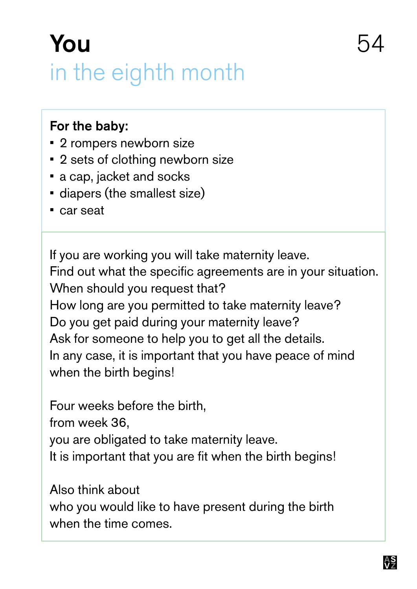### You 54 in the eighth month

#### For the baby:

- **2 rompers newborn size**
- • 2 sets of clothing newborn size
- a cap, jacket and socks
- diapers (the smallest size)
- • car seat

If you are working you will take maternity leave. Find out what the specific agreements are in your situation. When should you request that? How long are you permitted to take maternity leave? Do you get paid during your maternity leave? Ask for someone to help you to get all the details. In any case, it is important that you have peace of mind when the birth begins!

Four weeks before the birth, from week 36, you are obligated to take maternity leave. It is important that you are fit when the birth begins!

Also think about who you would like to have present during the birth when the time comes.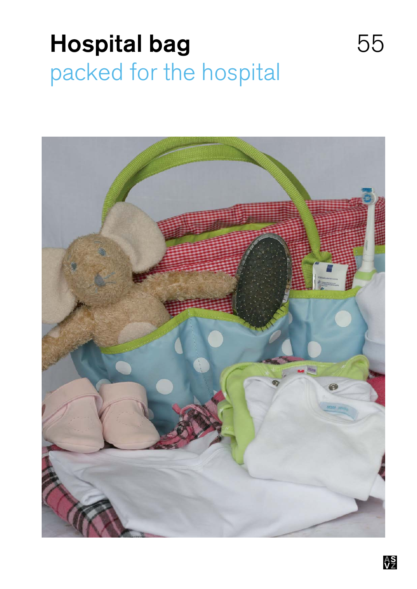### Hospital bag 55 packed for the hospital

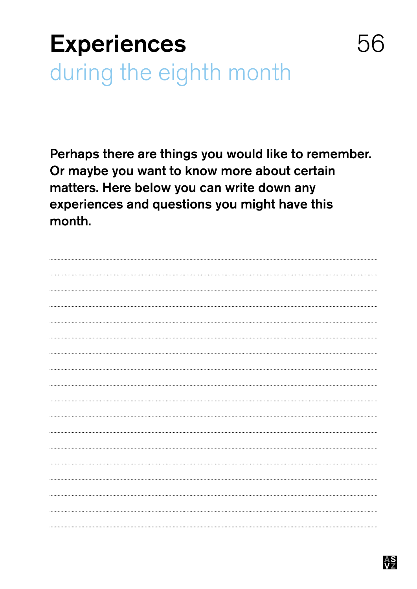### **Experiences** during the eighth month

Perhaps there are things you would like to remember. Or maybe you want to know more about certain matters. Here below you can write down any experiences and questions you might have this month.

![](_page_55_Picture_2.jpeg)

56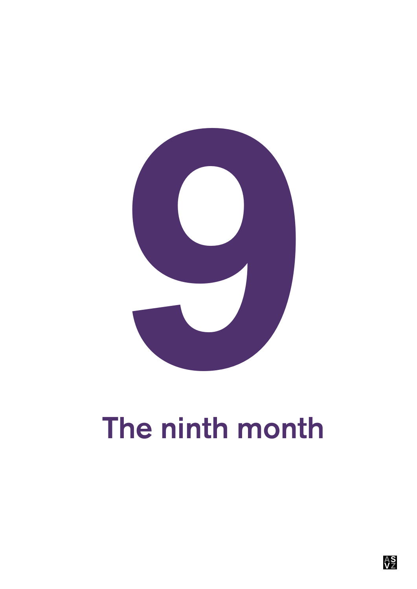![](_page_56_Picture_0.jpeg)

# The ninth month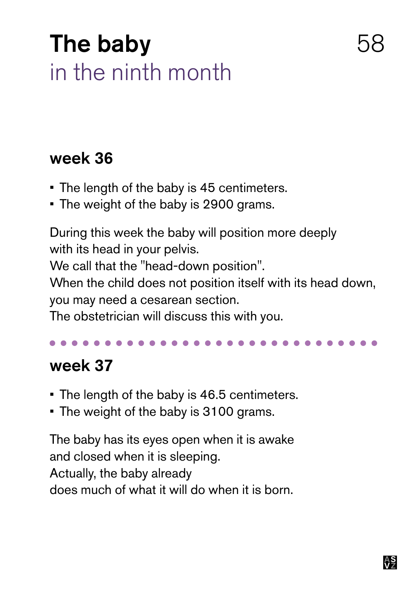### The baby in the ninth month

#### week 36

- The length of the baby is 45 centimeters.
- The weight of the baby is 2900 grams.

During this week the baby will position more deeply with its head in your pelvis.

We call that the "head-down position".

When the child does not position itself with its head down, you may need a cesarean section.

The obstetrician will discuss this with you.

### week 37

- The length of the baby is 46.5 centimeters.
- The weight of the baby is 3100 grams.

The baby has its eyes open when it is awake and closed when it is sleeping. Actually, the baby already does much of what it will do when it is born.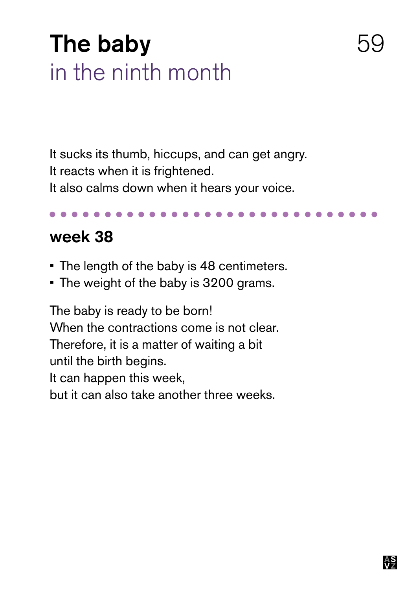### The baby in the ninth month

It sucks its thumb, hiccups, and can get angry. It reacts when it is frightened. It also calms down when it hears your voice.

#### week 38

- The length of the baby is 48 centimeters.
- The weight of the baby is 3200 grams.

The baby is ready to be born! When the contractions come is not clear. Therefore, it is a matter of waiting a bit until the birth begins. It can happen this week, but it can also take another three weeks.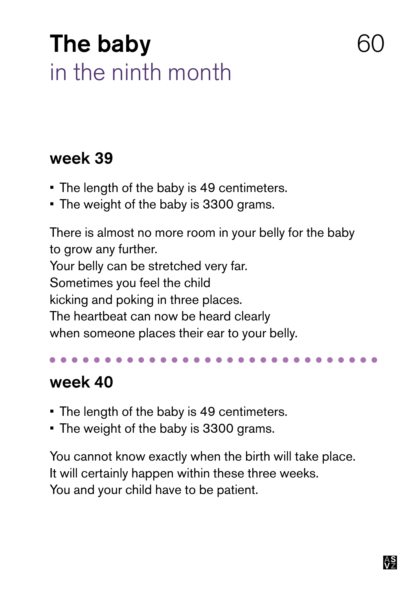### The baby in the ninth month

#### week 39

- The length of the baby is 49 centimeters.
- The weight of the baby is 3300 grams.

There is almost no more room in your belly for the baby to grow any further. Your belly can be stretched very far. Sometimes you feel the child kicking and poking in three places. The heartbeat can now be heard clearly when someone places their ear to your belly.

### week 40

- The length of the baby is 49 centimeters.
- The weight of the baby is 3300 grams.

You cannot know exactly when the birth will take place. It will certainly happen within these three weeks. You and your child have to be patient.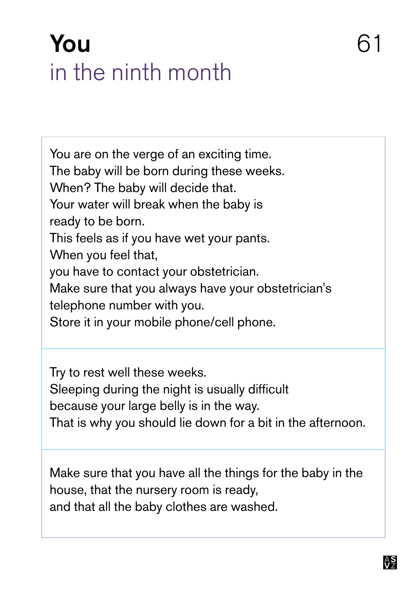### **You** 61 in the ninth month

You are on the verge of an exciting time. The baby will be born during these weeks. When? The baby will decide that. Your water will break when the baby is ready to be born. This feels as if you have wet your pants. When you feel that, you have to contact your obstetrician. Make sure that you always have your obstetrician's telephone number with you. Store it in your mobile phone/cell phone.

Try to rest well these weeks. Sleeping during the night is usually difficult because your large belly is in the way. That is why you should lie down for a bit in the afternoon.

Make sure that you have all the things for the baby in the house, that the nursery room is ready, and that all the baby clothes are washed.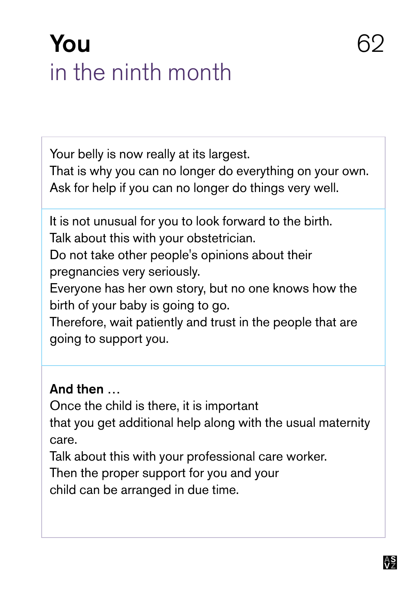### **You** 62 in the ninth month

Your belly is now really at its largest.

That is why you can no longer do everything on your own. Ask for help if you can no longer do things very well.

It is not unusual for you to look forward to the birth. Talk about this with your obstetrician.

Do not take other people's opinions about their pregnancies very seriously.

Everyone has her own story, but no one knows how the birth of your baby is going to go.

Therefore, wait patiently and trust in the people that are going to support you.

#### And then …

Once the child is there, it is important

that you get additional help along with the usual maternity care.

Talk about this with your professional care worker.

Then the proper support for you and your

child can be arranged in due time.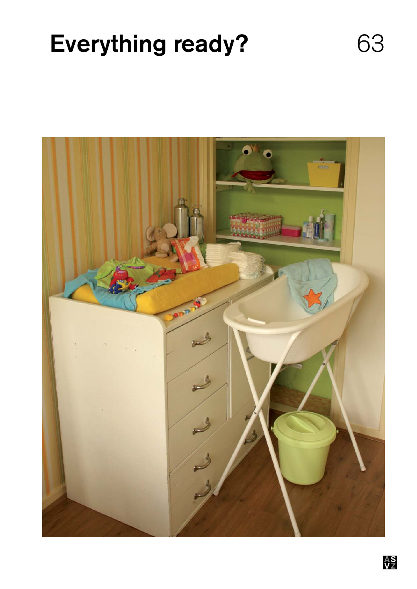### Everything ready? 63

![](_page_62_Picture_1.jpeg)